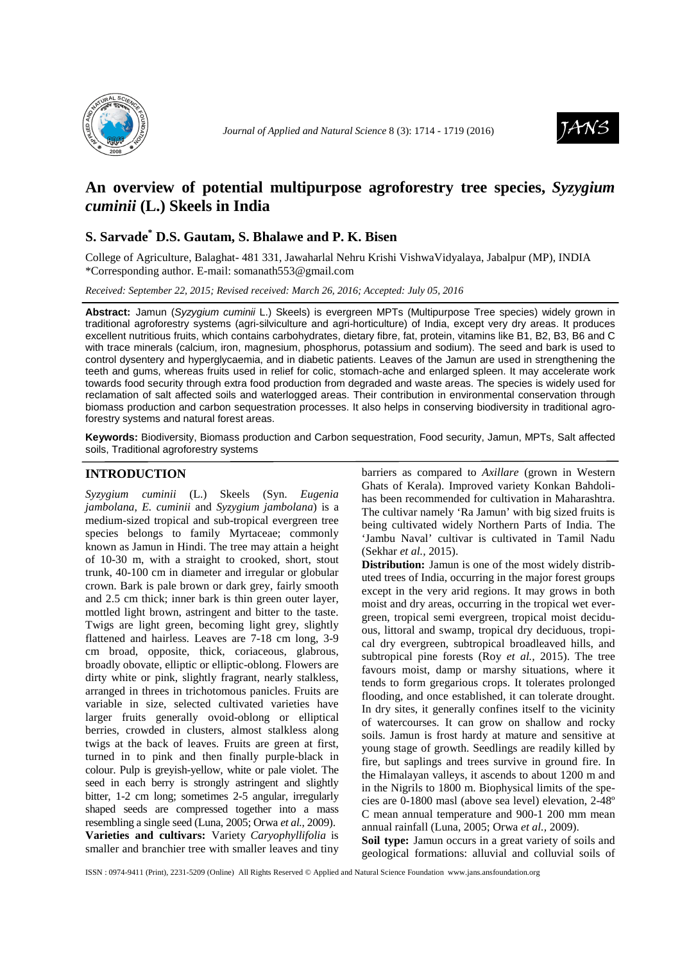



# **An overview of potential multipurpose agroforestry tree species,** *Syzygium cuminii* **(L.) Skeels in India**

## **S. Sarvade\* D.S. Gautam, S. Bhalawe and P. K. Bisen**

College of Agriculture, Balaghat- 481 331, Jawaharlal Nehru Krishi VishwaVidyalaya, Jabalpur (MP), INDIA \*Corresponding author. E-mail: somanath553@gmail.com

*Received: September 22, 2015; Revised received: March 26, 2016; Accepted: July 05, 2016*

**Abstract:** Jamun (Syzygium cuminii L.) Skeels) is evergreen MPTs (Multipurpose Tree species) widely grown in traditional agroforestry systems (agri-silviculture and agri-horticulture) of India, except very dry areas. It produces excellent nutritious fruits, which contains carbohydrates, dietary fibre, fat, protein, vitamins like B1, B2, B3, B6 and C with trace minerals (calcium, iron, magnesium, phosphorus, potassium and sodium). The seed and bark is used to control dysentery and hyperglycaemia, and in diabetic patients. Leaves of the Jamun are used in strengthening the teeth and gums, whereas fruits used in relief for colic, stomach-ache and enlarged spleen. It may accelerate work towards food security through extra food production from degraded and waste areas. The species is widely used for reclamation of salt affected soils and waterlogged areas. Their contribution in environmental conservation through biomass production and carbon sequestration processes. It also helps in conserving biodiversity in traditional agroforestry systems and natural forest areas.

**Keywords:** Biodiversity, Biomass production and Carbon sequestration, Food security, Jamun, MPTs, Salt affected soils, Traditional agroforestry systems

#### **INTRODUCTION**

*Syzygium cuminii* (L.) Skeels (Syn. *Eugenia jambolana*, *E. cuminii* and *Syzygium jambolana*) is a medium-sized tropical and sub-tropical evergreen tree species belongs to family Myrtaceae; commonly known as Jamun in Hindi. The tree may attain a height of 10-30 m, with a straight to crooked, short, stout trunk, 40-100 cm in diameter and irregular or globular crown. Bark is pale brown or dark grey, fairly smooth and 2.5 cm thick; inner bark is thin green outer layer, mottled light brown, astringent and bitter to the taste. Twigs are light green, becoming light grey, slightly flattened and hairless. Leaves are 7-18 cm long, 3-9 cm broad, opposite, thick, coriaceous, glabrous, broadly obovate, elliptic or elliptic-oblong. Flowers are dirty white or pink, slightly fragrant, nearly stalkless, arranged in threes in trichotomous panicles. Fruits are variable in size, selected cultivated varieties have larger fruits generally ovoid-oblong or elliptical berries, crowded in clusters, almost stalkless along twigs at the back of leaves. Fruits are green at first, turned in to pink and then finally purple-black in colour. Pulp is greyish-yellow, white or pale violet. The seed in each berry is strongly astringent and slightly bitter, 1-2 cm long; sometimes 2-5 angular, irregularly shaped seeds are compressed together into a mass resembling a single seed (Luna, 2005; Orwa *et al.,* 2009). **Varieties and cultivars:** Variety *Caryophyllifolia* is smaller and branchier tree with smaller leaves and tiny

barriers as compared to *Axillare* (grown in Western Ghats of Kerala). Improved variety Konkan Bahdolihas been recommended for cultivation in Maharashtra. The cultivar namely 'Ra Jamun' with big sized fruits is being cultivated widely Northern Parts of India. The 'Jambu Naval' cultivar is cultivated in Tamil Nadu (Sekhar *et al.,* 2015).

**Distribution:** Jamun is one of the most widely distributed trees of India, occurring in the major forest groups except in the very arid regions. It may grows in both moist and dry areas, occurring in the tropical wet evergreen, tropical semi evergreen, tropical moist deciduous, littoral and swamp, tropical dry deciduous, tropical dry evergreen, subtropical broadleaved hills, and subtropical pine forests (Roy *et al.,* 2015). The tree favours moist, damp or marshy situations, where it tends to form gregarious crops. It tolerates prolonged flooding, and once established, it can tolerate drought. In dry sites, it generally confines itself to the vicinity of watercourses. It can grow on shallow and rocky soils. Jamun is frost hardy at mature and sensitive at young stage of growth. Seedlings are readily killed by fire, but saplings and trees survive in ground fire. In the Himalayan valleys, it ascends to about 1200 m and in the Nigrils to 1800 m. Biophysical limits of the species are 0-1800 masl (above sea level) elevation, 2-48º C mean annual temperature and 900-1 200 mm mean annual rainfall (Luna, 2005; Orwa *et al.,* 2009).

Soil type: Jamun occurs in a great variety of soils and geological formations: alluvial and colluvial soils of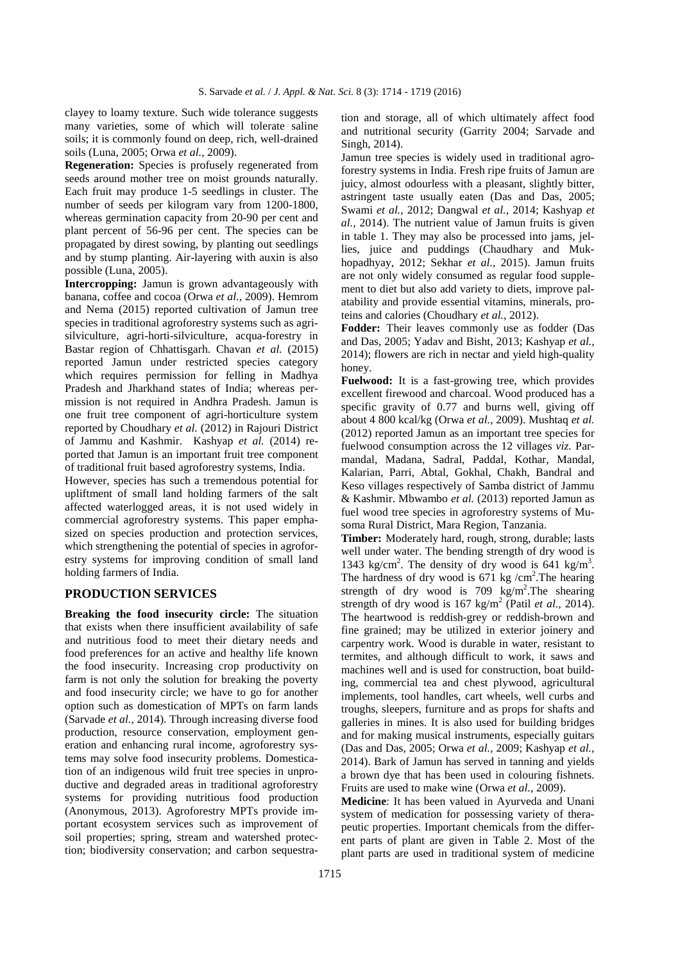clayey to loamy texture. Such wide tolerance suggests many varieties, some of which will tolerate saline soils; it is commonly found on deep, rich, well-drained soils (Luna, 2005; Orwa *et al.,* 2009).

**Regeneration:** Species is profusely regenerated from seeds around mother tree on moist grounds naturally. Each fruit may produce 1-5 seedlings in cluster. The number of seeds per kilogram vary from 1200-1800, whereas germination capacity from 20-90 per cent and plant percent of 56-96 per cent. The species can be propagated by direst sowing, by planting out seedlings and by stump planting. Air-layering with auxin is also possible (Luna, 2005).

**Intercropping:** Jamun is grown advantageously with banana, coffee and cocoa (Orwa *et al.,* 2009). Hemrom and Nema (2015) reported cultivation of Jamun tree species in traditional agroforestry systems such as agrisilviculture, agri-horti-silviculture, acqua-forestry in Bastar region of Chhattisgarh. Chavan *et al.* (2015) reported Jamun under restricted species category which requires permission for felling in Madhya Pradesh and Jharkhand states of India; whereas permission is not required in Andhra Pradesh. Jamun is one fruit tree component of agri-horticulture system reported by Choudhary *et al.* (2012) in Rajouri District of Jammu and Kashmir. Kashyap *et al.* (2014) reported that Jamun is an important fruit tree component of traditional fruit based agroforestry systems, India.

However, species has such a tremendous potential for upliftment of small land holding farmers of the salt affected waterlogged areas, it is not used widely in commercial agroforestry systems. This paper emphasized on species production and protection services, which strengthening the potential of species in agroforestry systems for improving condition of small land holding farmers of India.

#### **PRODUCTION SERVICES**

**Breaking the food insecurity circle:** The situation that exists when there insufficient availability of safe and nutritious food to meet their dietary needs and food preferences for an active and healthy life known the food insecurity. Increasing crop productivity on farm is not only the solution for breaking the poverty and food insecurity circle; we have to go for another option such as domestication of MPTs on farm lands (Sarvade *et al.,* 2014). Through increasing diverse food production, resource conservation, employment generation and enhancing rural income, agroforestry systems may solve food insecurity problems. Domestication of an indigenous wild fruit tree species in unproductive and degraded areas in traditional agroforestry systems for providing nutritious food production (Anonymous, 2013). Agroforestry MPTs provide important ecosystem services such as improvement of soil properties; spring, stream and watershed protection; biodiversity conservation; and carbon sequestra-

tion and storage, all of which ultimately affect food and nutritional security (Garrity 2004; Sarvade and Singh, 2014).

Jamun tree species is widely used in traditional agroforestry systems in India. Fresh ripe fruits of Jamun are juicy, almost odourless with a pleasant, slightly bitter, astringent taste usually eaten (Das and Das, 2005; Swami *et al.,* 2012; Dangwal *et al.,* 2014; Kashyap *et al.,* 2014). The nutrient value of Jamun fruits is given in table 1. They may also be processed into jams, jellies, juice and puddings (Chaudhary and Mukhopadhyay, 2012; Sekhar *et al.,* 2015). Jamun fruits are not only widely consumed as regular food supplement to diet but also add variety to diets, improve palatability and provide essential vitamins, minerals, proteins and calories (Choudhary *et al.,* 2012).

**Fodder:** Their leaves commonly use as fodder (Das and Das, 2005; Yadav and Bisht, 2013; Kashyap *et al.,* 2014); flowers are rich in nectar and yield high-quality honey.

**Fuelwood:** It is a fast-growing tree, which provides excellent firewood and charcoal. Wood produced has a specific gravity of 0.77 and burns well, giving off about 4 800 kcal/kg (Orwa *et al.,* 2009). Mushtaq *et al.* (2012) reported Jamun as an important tree species for fuelwood consumption across the 12 villages *viz.* Parmandal, Madana, Sadral, Paddal, Kothar, Mandal, Kalarian, Parri, Abtal, Gokhal, Chakh, Bandral and Keso villages respectively of Samba district of Jammu & Kashmir. Mbwambo *et al.* (2013) reported Jamun as fuel wood tree species in agroforestry systems of Musoma Rural District, Mara Region, Tanzania.

**Timber:** Moderately hard, rough, strong, durable; lasts well under water. The bending strength of dry wood is 1343 kg/cm<sup>2</sup>. The density of dry wood is  $641 \text{ kg/m}^3$ . The hardness of dry wood is  $671 \text{ kg}/\text{cm}^2$ . The hearing strength of dry wood is  $709 \text{ kg/m}^2$ . The shearing strength of dry wood is  $167 \text{ kg/m}^2$  (Patil *et al.,* 2014). The heartwood is reddish-grey or reddish-brown and fine grained; may be utilized in exterior joinery and carpentry work. Wood is durable in water, resistant to termites, and although difficult to work, it saws and machines well and is used for construction, boat building, commercial tea and chest plywood, agricultural implements, tool handles, cart wheels, well curbs and troughs, sleepers, furniture and as props for shafts and galleries in mines. It is also used for building bridges and for making musical instruments, especially guitars (Das and Das, 2005; Orwa *et al.,* 2009; Kashyap *et al.,* 2014). Bark of Jamun has served in tanning and yields a brown dye that has been used in colouring fishnets. Fruits are used to make wine (Orwa *et al.,* 2009).

**Medicine**: It has been valued in Ayurveda and Unani system of medication for possessing variety of therapeutic properties. Important chemicals from the different parts of plant are given in Table 2. Most of the plant parts are used in traditional system of medicine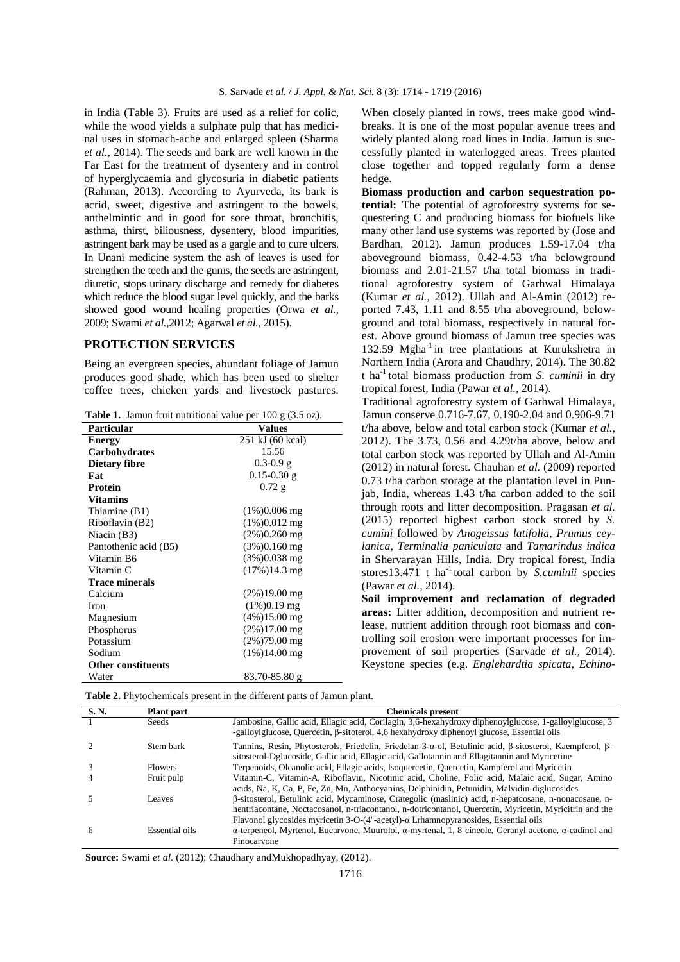in India (Table 3). Fruits are used as a relief for colic, while the wood yields a sulphate pulp that has medicinal uses in stomach-ache and enlarged spleen (Sharma *et al.,* 2014). The seeds and bark are well known in the Far East for the treatment of dysentery and in control of hyperglycaemia and glycosuria in diabetic patients (Rahman, 2013). According to Ayurveda, its bark is acrid, sweet, digestive and astringent to the bowels, anthelmintic and in good for sore throat, bronchitis, asthma, thirst, biliousness, dysentery, blood impurities, astringent bark may be used as a gargle and to cure ulcers. In Unani medicine system the ash of leaves is used for strengthen the teeth and the gums, the seeds are astringent, diuretic, stops urinary discharge and remedy for diabetes which reduce the blood sugar level quickly, and the barks showed good wound healing properties (Orwa *et al.,* 2009; Swami *et al.,*2012; Agarwal *et al.,* 2015).

#### **PROTECTION SERVICES**

Being an evergreen species, abundant foliage of Jamun produces good shade, which has been used to shelter coffee trees, chicken yards and livestock pastures.

**Table 1.** Jamun fruit nutritional value per 100 g (3.5 oz).

| Particular                | <b>Values</b>           |
|---------------------------|-------------------------|
| <b>Energy</b>             | 251 kJ (60 kcal)        |
| Carbohydrates             | 15.56                   |
| Dietary fibre             | $0.3 - 0.9$ g           |
| Fat                       | $0.15 - 0.30$ g         |
| <b>Protein</b>            | $0.72$ g                |
| <b>Vitamins</b>           |                         |
| Thiamine (B1)             | $(1\%)0.006$ mg         |
| Riboflavin (B2)           | $(1\%)0.012$ mg         |
| Niacin $(B3)$             | $(2\%)0.260$ mg         |
| Pantothenic acid (B5)     | $(3\%)0.160$ mg         |
| Vitamin B6                | $(3\%)0.038$ mg         |
| Vitamin C                 | $(17\%)14.3 \text{ mg}$ |
| <b>Trace minerals</b>     |                         |
| Calcium                   | $(2\%)19.00$ mg         |
| <b>Iron</b>               | $(1\%)0.19$ mg          |
| Magnesium                 | $(4\%)15.00$ mg         |
| Phosphorus                | $(2\%)17.00$ mg         |
| Potassium                 | $(2\%)$ 79.00 mg        |
| Sodium                    | $(1\%)14.00$ mg         |
| <b>Other constituents</b> |                         |
| Water                     | 83.70-85.80 g           |

When closely planted in rows, trees make good windbreaks. It is one of the most popular avenue trees and widely planted along road lines in India. Jamun is successfully planted in waterlogged areas. Trees planted close together and topped regularly form a dense hedge.

**Biomass production and carbon sequestration potential:** The potential of agroforestry systems for sequestering C and producing biomass for biofuels like many other land use systems was reported by (Jose and Bardhan, 2012). Jamun produces 1.59-17.04 t/ha aboveground biomass, 0.42-4.53 t/ha belowground biomass and 2.01-21.57 t/ha total biomass in traditional agroforestry system of Garhwal Himalaya (Kumar *et al.,* 2012). Ullah and Al-Amin (2012) reported 7.43, 1.11 and 8.55 t/ha aboveground, belowground and total biomass, respectively in natural forest. Above ground biomass of Jamun tree species was 132.59 Mgha<sup>-1</sup> in tree plantations at Kurukshetra in Northern India (Arora and Chaudhry, 2014). The 30.82 t ha-1 total biomass production from *S. cuminii* in dry tropical forest, India (Pawar *et al.,* 2014).

Traditional agroforestry system of Garhwal Himalaya, Jamun conserve 0.716-7.67, 0.190-2.04 and 0.906-9.71 t/ha above, below and total carbon stock (Kumar *et al.,* 2012). The 3.73, 0.56 and 4.29t/ha above, below and total carbon stock was reported by Ullah and Al-Amin (2012) in natural forest. Chauhan *et al.* (2009) reported 0.73 t/ha carbon storage at the plantation level in Punjab, India, whereas 1.43 t/ha carbon added to the soil through roots and litter decomposition. Pragasan *et al.* (2015) reported highest carbon stock stored by *S. cumini* followed by *Anogeissus latifolia*, *Prumus ceylanica*, *Terminalia paniculata* and *Tamarindus indica*  in Shervarayan Hills, India. Dry tropical forest, India stores13.471 t ha<sup>-1</sup> total carbon by *S.cuminii* species (Pawar *et al.,* 2014).

**Soil improvement and reclamation of degraded areas:** Litter addition, decomposition and nutrient release, nutrient addition through root biomass and controlling soil erosion were important processes for improvement of soil properties (Sarvade *et al.,* 2014). Keystone species (e.g. *Englehardtia spicata*, *Echino-*

**Table 2.** Phytochemicals present in the different parts of Jamun plant.

| S. N. | <b>Plant part</b> | <b>Chemicals present</b>                                                                                                                                                                                                                 |
|-------|-------------------|------------------------------------------------------------------------------------------------------------------------------------------------------------------------------------------------------------------------------------------|
|       | Seeds             | Jambosine, Gallic acid, Ellagic acid, Corilagin, 3,6-hexahydroxy diphenoylglucose, 1-galloylglucose, 3<br>-galloylglucose, Quercetin, $\beta$ -sitoterol, 4,6 hexahydroxy diphenoyl glucose, Essential oils                              |
|       | Stem bark         | Tannins, Resin, Phytosterols, Friedelin, Friedelan-3-α-ol, Betulinic acid, β-sitosterol, Kaempferol, β-<br>sitosterol-Dglucoside, Gallic acid, Ellagic acid, Gallotannin and Ellagitannin and Myricetine                                 |
|       | <b>Flowers</b>    | Terpenoids, Oleanolic acid, Ellagic acids, Isoquercetin, Quercetin, Kampferol and Myricetin                                                                                                                                              |
|       | Fruit pulp        | Vitamin-C, Vitamin-A, Riboflavin, Nicotinic acid, Choline, Folic acid, Malaic acid, Sugar, Amino<br>acids, Na, K, Ca, P, Fe, Zn, Mn, Anthocyanins, Delphinidin, Petunidin, Malvidin-diglucosides                                         |
|       | Leaves            | β-sitosterol, Betulinic acid, Mycaminose, Crategolic (maslinic) acid, n-hepatcosane, n-nonacosane, n-<br>hentriacontane, Noctacosanol, n-triacontanol, n-dotricontanol, Quercetin, Myricetin, Myricitrin and the                         |
| 6     | Essential oils    | Flavonol glycosides myricetin $3-O-(4"-acetyl)-\alpha$ Lrhamnopyranosides, Essential oils<br>$\alpha$ -terpeneol, Myrtenol, Eucarvone, Muurolol, $\alpha$ -myrtenal, 1, 8-cineole, Geranyl acetone, $\alpha$ -cadinol and<br>Pinocarvone |

**Source:** Swami *et al.* (2012); Chaudhary andMukhopadhyay, (2012).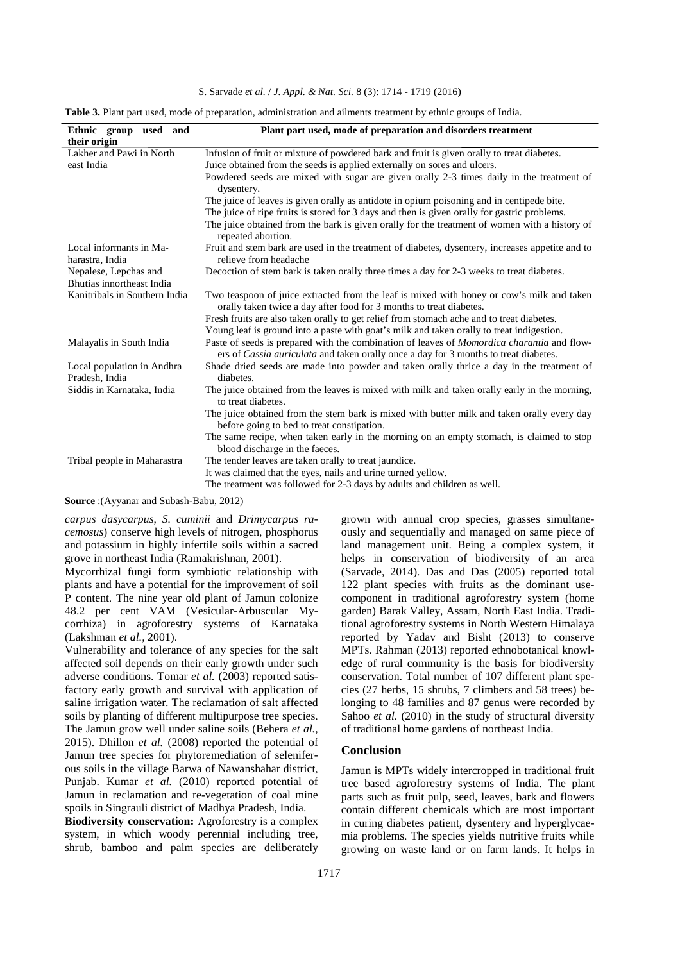|  |  |  |  |  |  |  | S. Sarvade <i>et al. / J. Appl. &amp; Nat. Sci.</i> 8 (3): 1714 - 1719 (2016) |
|--|--|--|--|--|--|--|-------------------------------------------------------------------------------|
|--|--|--|--|--|--|--|-------------------------------------------------------------------------------|

| Table 3. Plant part used, mode of preparation, administration and ailments treatment by ethnic groups of India. |  |  |  |  |
|-----------------------------------------------------------------------------------------------------------------|--|--|--|--|
|-----------------------------------------------------------------------------------------------------------------|--|--|--|--|

| Ethnic group used<br>and                            | Plant part used, mode of preparation and disorders treatment                                                                                                                              |
|-----------------------------------------------------|-------------------------------------------------------------------------------------------------------------------------------------------------------------------------------------------|
| their origin                                        |                                                                                                                                                                                           |
| Lakher and Pawi in North                            | Infusion of fruit or mixture of powdered bark and fruit is given orally to treat diabetes.                                                                                                |
| east India                                          | Juice obtained from the seeds is applied externally on sores and ulcers.                                                                                                                  |
|                                                     | Powdered seeds are mixed with sugar are given orally 2-3 times daily in the treatment of<br>dysentery.                                                                                    |
|                                                     | The juice of leaves is given orally as antidote in opium poisoning and in centipede bite.                                                                                                 |
|                                                     | The juice of ripe fruits is stored for 3 days and then is given orally for gastric problems.                                                                                              |
|                                                     | The juice obtained from the bark is given orally for the treatment of women with a history of<br>repeated abortion.                                                                       |
| Local informants in Ma-<br>harastra, India          | Fruit and stem bark are used in the treatment of diabetes, dysentery, increases appetite and to<br>relieve from headache                                                                  |
| Nepalese, Lepchas and<br>Bhutias innortheast India  | Decoction of stem bark is taken orally three times a day for 2-3 weeks to treat diabetes.                                                                                                 |
| Kanitribals in Southern India                       | Two teaspoon of juice extracted from the leaf is mixed with honey or cow's milk and taken<br>orally taken twice a day after food for 3 months to treat diabetes.                          |
|                                                     | Fresh fruits are also taken orally to get relief from stomach ache and to treat diabetes.                                                                                                 |
|                                                     | Young leaf is ground into a paste with goat's milk and taken orally to treat indigestion.                                                                                                 |
| Malayalis in South India                            | Paste of seeds is prepared with the combination of leaves of <i>Momordica charantia</i> and flow-<br>ers of Cassia auriculata and taken orally once a day for 3 months to treat diabetes. |
| Local population in Andhra<br>Pradesh, India        | Shade dried seeds are made into powder and taken orally thrice a day in the treatment of<br>diabetes.                                                                                     |
| Siddis in Karnataka, India                          | The juice obtained from the leaves is mixed with milk and taken orally early in the morning,<br>to treat diabetes.                                                                        |
|                                                     | The juice obtained from the stem bark is mixed with butter milk and taken orally every day<br>before going to bed to treat constipation.                                                  |
|                                                     | The same recipe, when taken early in the morning on an empty stomach, is claimed to stop                                                                                                  |
|                                                     | blood discharge in the faeces.                                                                                                                                                            |
| Tribal people in Maharastra                         | The tender leaves are taken orally to treat jaundice.                                                                                                                                     |
|                                                     | It was claimed that the eyes, nails and urine turned yellow.                                                                                                                              |
|                                                     | The treatment was followed for 2-3 days by adults and children as well.                                                                                                                   |
| $S_{\text{oumon}}$ (Arrespect and Subset Daby 2012) |                                                                                                                                                                                           |

**Source** :(Ayyanar and Subash-Babu, 2012)

*carpus dasycarpus*, *S. cuminii* and *Drimycarpus racemosus*) conserve high levels of nitrogen, phosphorus and potassium in highly infertile soils within a sacred grove in northeast India (Ramakrishnan, 2001).

Mycorrhizal fungi form symbiotic relationship with plants and have a potential for the improvement of soil P content. The nine year old plant of Jamun colonize 48.2 per cent VAM (Vesicular-Arbuscular Mycorrhiza) in agroforestry systems of Karnataka (Lakshman *et al.,* 2001).

Vulnerability and tolerance of any species for the salt affected soil depends on their early growth under such adverse conditions. Tomar *et al.* (2003) reported satisfactory early growth and survival with application of saline irrigation water. The reclamation of salt affected soils by planting of different multipurpose tree species. The Jamun grow well under saline soils (Behera *et al.,* 2015). Dhillon *et al.* (2008) reported the potential of Jamun tree species for phytoremediation of seleniferous soils in the village Barwa of Nawanshahar district, Punjab. Kumar *et al.* (2010) reported potential of Jamun in reclamation and re-vegetation of coal mine spoils in Singrauli district of Madhya Pradesh, India. **Biodiversity conservation:** Agroforestry is a complex system, in which woody perennial including tree,

shrub, bamboo and palm species are deliberately

grown with annual crop species, grasses simultaneously and sequentially and managed on same piece of land management unit. Being a complex system, it helps in conservation of biodiversity of an area (Sarvade, 2014). Das and Das (2005) reported total 122 plant species with fruits as the dominant usecomponent in traditional agroforestry system (home garden) Barak Valley, Assam, North East India. Traditional agroforestry systems in North Western Himalaya reported by Yadav and Bisht (2013) to conserve MPTs. Rahman (2013) reported ethnobotanical knowledge of rural community is the basis for biodiversity conservation. Total number of 107 different plant species (27 herbs, 15 shrubs, 7 climbers and 58 trees) belonging to 48 families and 87 genus were recorded by Sahoo *et al.* (2010) in the study of structural diversity of traditional home gardens of northeast India.

### **Conclusion**

Jamun is MPTs widely intercropped in traditional fruit tree based agroforestry systems of India. The plant parts such as fruit pulp, seed, leaves, bark and flowers contain different chemicals which are most important in curing diabetes patient, dysentery and hyperglycaemia problems. The species yields nutritive fruits while growing on waste land or on farm lands. It helps in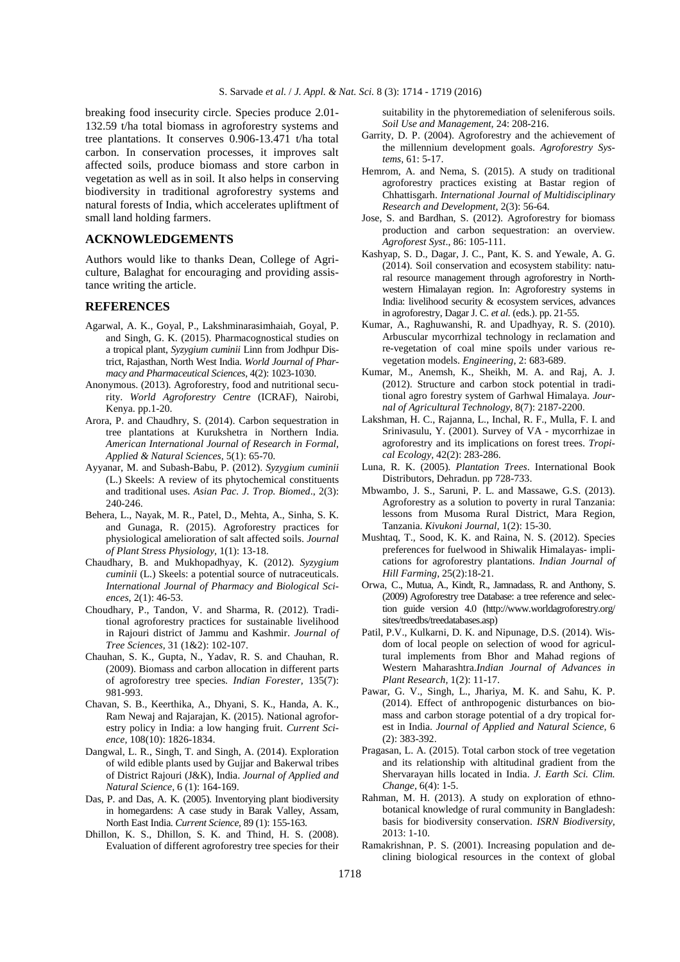breaking food insecurity circle. Species produce 2.01- 132.59 t/ha total biomass in agroforestry systems and tree plantations. It conserves 0.906-13.471 t/ha total carbon. In conservation processes, it improves salt affected soils, produce biomass and store carbon in vegetation as well as in soil. It also helps in conserving biodiversity in traditional agroforestry systems and natural forests of India, which accelerates upliftment of small land holding farmers.

#### **ACKNOWLEDGEMENTS**

Authors would like to thanks Dean, College of Agriculture, Balaghat for encouraging and providing assistance writing the article.

#### **REFERENCES**

- Agarwal, A. K., Goyal, P., Lakshminarasimhaiah, Goyal, P. and Singh, G. K. (2015). Pharmacognostical studies on a tropical plant, *Syzygium cuminii* Linn from Jodhpur District, Rajasthan, North West India. *World Journal of Pharmacy and Pharmaceutical Sciences,* 4(2): 1023-1030.
- Anonymous. (2013). Agroforestry, food and nutritional security. *World Agroforestry Centre* (ICRAF), Nairobi, Kenya. pp.1-20.
- Arora, P. and Chaudhry, S. (2014). Carbon sequestration in tree plantations at Kurukshetra in Northern India. *American International Journal of Research in Formal, Applied & Natural Sciences,* 5(1): 65-70.
- Ayyanar, M. and Subash-Babu, P. (2012). *Syzygium cuminii* (L.) Skeels: A review of its phytochemical constituents and traditional uses. *Asian Pac. J. Trop. Biomed*., 2(3): 240-246.
- Behera, L., Nayak, M. R., Patel, D., Mehta, A., Sinha, S. K. and Gunaga, R. (2015). Agroforestry practices for physiological amelioration of salt affected soils. *Journal of Plant Stress Physiology,* 1(1): 13-18.
- Chaudhary, B. and Mukhopadhyay, K. (2012). *Syzygium cuminii* (L.) Skeels: a potential source of nutraceuticals. *International Journal of Pharmacy and Biological Sciences,* 2(1): 46-53.
- Choudhary, P., Tandon, V. and Sharma, R. (2012). Traditional agroforestry practices for sustainable livelihood in Rajouri district of Jammu and Kashmir. *Journal of Tree Sciences,* 31 (1&2): 102-107.
- Chauhan, S. K., Gupta, N., Yadav, R. S. and Chauhan, R. (2009). Biomass and carbon allocation in different parts of agroforestry tree species. *Indian Forester,* 135(7): 981-993.
- Chavan, S. B., Keerthika, A., Dhyani, S. K., Handa, A. K., Ram Newaj and Rajarajan, K. (2015). National agroforestry policy in India: a low hanging fruit. *Current Science,* 108(10): 1826-1834.
- Dangwal, L. R., Singh, T. and Singh, A. (2014). Exploration of wild edible plants used by Gujjar and Bakerwal tribes of District Rajouri (J&K), India. *Journal of Applied and Natural Science*, 6 (1): 164-169.
- Das, P. and Das, A. K. (2005). Inventorying plant biodiversity in homegardens: A case study in Barak Valley, Assam, North East India. *Current Science,* 89 (1): 155-163.
- Dhillon, K. S., Dhillon, S. K. and Thind, H. S. (2008). Evaluation of different agroforestry tree species for their

suitability in the phytoremediation of seleniferous soils. *Soil Use and Management,* 24: 208-216.

- Garrity, D. P. (2004). Agroforestry and the achievement of the millennium development goals. *Agroforestry Systems,* 61: 5-17.
- Hemrom, A. and Nema, S. (2015). A study on traditional agroforestry practices existing at Bastar region of Chhattisgarh. *International Journal of Multidisciplinary Research and Development,* 2(3): 56-64.
- Jose, S. and Bardhan, S. (2012). Agroforestry for biomass production and carbon sequestration: an overview. *Agroforest Syst*., 86: 105-111.
- Kashyap, S. D., Dagar, J. C., Pant, K. S. and Yewale, A. G. (2014). Soil conservation and ecosystem stability: natural resource management through agroforestry in Northwestern Himalayan region. In: Agroforestry systems in India: livelihood security & ecosystem services, advances in agroforestry, Dagar J. C. *et al.* (eds.). pp. 21-55.
- Kumar, A., Raghuwanshi, R. and Upadhyay, R. S. (2010). Arbuscular mycorrhizal technology in reclamation and re-vegetation of coal mine spoils under various revegetation models. *Engineering,* 2: 683-689.
- Kumar, M., Anemsh, K., Sheikh, M. A. and Raj, A. J. (2012). Structure and carbon stock potential in traditional agro forestry system of Garhwal Himalaya. *Journal of Agricultural Technology,* 8(7): 2187-2200.
- Lakshman, H. C., Rajanna, L., Inchal, R. F., Mulla, F. I. and Srinivasulu, Y. (2001). Survey of VA - mycorrhizae in agroforestry and its implications on forest trees. *Tropical Ecology,* 42(2): 283-286.
- Luna, R. K. (2005). *Plantation Trees*. International Book Distributors, Dehradun. pp 728-733.
- Mbwambo, J. S., Saruni, P. L. and Massawe, G.S. (2013). Agroforestry as a solution to poverty in rural Tanzania: lessons from Musoma Rural District, Mara Region, Tanzania. *Kivukoni Journal,* 1(2): 15-30.
- Mushtaq, T., Sood, K. K. and Raina, N. S. (2012). Species preferences for fuelwood in Shiwalik Himalayas- implications for agroforestry plantations. *Indian Journal of Hill Farming,* 25(2):18-21.
- Orwa, C., Mutua, A., Kindt, R., Jamnadass, R. and Anthony, S. (2009) Agroforestry tree Database: a tree reference and selection guide version 4.0 (http://www.worldagroforestry.org/ sites/treedbs/treedatabases.asp)
- Patil, P.V., Kulkarni, D. K. and Nipunage, D.S. (2014). Wisdom of local people on selection of wood for agricultural implements from Bhor and Mahad regions of Western Maharashtra.*Indian Journal of Advances in Plant Research,* 1(2): 11-17.
- Pawar, G. V., Singh, L., Jhariya, M. K. and Sahu, K. P. (2014). Effect of anthropogenic disturbances on biomass and carbon storage potential of a dry tropical forest in India. *Journal of Applied and Natural Science,* 6 (2): 383-392.
- Pragasan, L. A. (2015). Total carbon stock of tree vegetation and its relationship with altitudinal gradient from the Shervarayan hills located in India. *J. Earth Sci. Clim. Change,* 6(4): 1-5.
- Rahman, M. H. (2013). A study on exploration of ethnobotanical knowledge of rural community in Bangladesh: basis for biodiversity conservation. *ISRN Biodiversity,*  2013: 1-10.
- Ramakrishnan, P. S. (2001). Increasing population and declining biological resources in the context of global